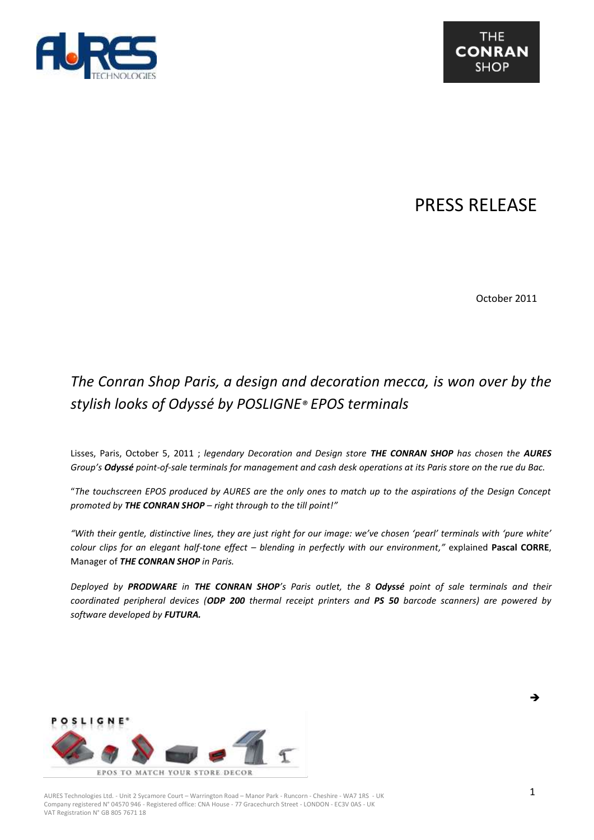

## PRESS RELEASE

October 2011

## *The Conran Shop Paris, a design and decoration mecca, is won over by the stylish looks of Odyssé by POSLIGNE® EPOS terminals*

Lisses, Paris, October 5, 2011 ; *legendary Decoration and Design store THE CONRAN SHOP has chosen the AURES Group's Odyssé point-of-sale terminals for management and cash desk operations at its Paris store on the rue du Bac.* 

"*The touchscreen EPOS produced by AURES are the only ones to match up to the aspirations of the Design Concept promoted by THE CONRAN SHOP – right through to the till point!"*

*"With their gentle, distinctive lines, they are just right for our image: we've chosen 'pearl' terminals with 'pure white' colour clips for an elegant half-tone effect – blending in perfectly with our environment,"* explained **Pascal CORRE**, Manager of *THE CONRAN SHOP in Paris.*

*Deployed by PRODWARE in THE CONRAN SHOP's Paris outlet, the 8 Odyssé point of sale terminals and their coordinated peripheral devices (ODP 200 thermal receipt printers and PS 50 barcode scanners) are powered by software developed by FUTURA.*



AURES Technologies Ltd. - Unit 2 Sycamore Court – Warrington Road – Manor Park - Runcorn - Cheshire - WA7 1RS - UK Company registered N° 04570 946 - Registered office: CNA House - 77 Gracechurch Street - LONDON - EC3V 0AS - UK VAT Registration N° GB 805 7671 18

L,